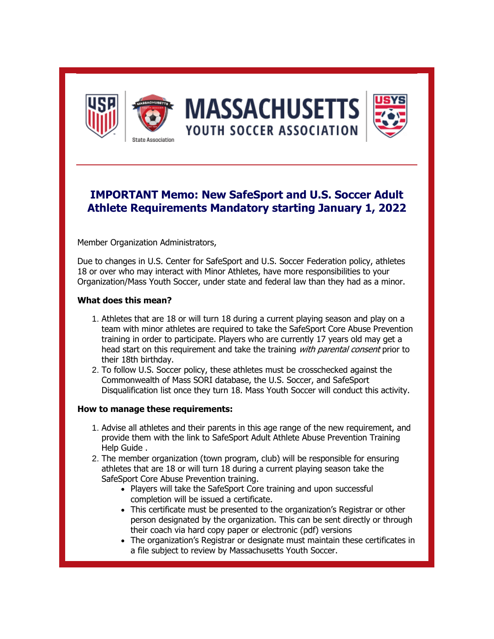

## **IMPORTANT Memo: New SafeSport and U.S. Soccer Adult Athlete Requirements Mandatory starting January 1, 2022**

Member Organization Administrators,

Due to changes in U.S. Center for SafeSport and U.S. Soccer Federation policy, athletes 18 or over who may interact with Minor Athletes, have more responsibilities to your Organization/Mass Youth Soccer, under state and federal law than they had as a minor.

## **What does this mean?**

- 1. Athletes that are 18 or will turn 18 during a current playing season and play on a team with minor athletes are required to take the SafeSport Core Abuse Prevention training in order to participate. Players who are currently 17 years old may get a head start on this requirement and take the training *with parental consent* prior to their 18th birthday.
- 2. To follow U.S. Soccer policy, these athletes must be crosschecked against the Commonwealth of Mass SORI database, the U.S. Soccer, and SafeSport Disqualification list once they turn 18. Mass Youth Soccer will conduct this activity.

## **How to manage these requirements:**

- 1. Advise all athletes and their parents in this age range of the new requirement, and provide them with the link to [SafeSport Adult Athlete Abuse Prevention Training](https://r20.rs6.net/tn.jsp?f=001vnDxIS9miaq0WzMNcSSvvN0tQ8FEjvMNlCobdm0STTy0grdCC3TVi6JZnerZXhnbxtzc_bzmoVKoYxm2YZlpgDmAowbJ3ymnNBjovt-4xP_NieKphzHlNVkahBuKh5ICJx7k7v2Zr8uFVrSFbE_lQBh81bRpM2Wa0EBHXCzf_imE1ntLH-bSeaH0tOsJzzfMtoptjiGQwY39SY4V4sMGpE5Sc_X6QaGiN2e1-JsrT-AflAJT5d9PKhqdgyFKqX1H&c=k43foNUZ_VeRPa4hg0RJNLStrF3KcFVT_Ppe7fmVlVvHoGTtIE_JNg==&ch=PclnUxdXJgvmjVhxpV8XP8r9qBo0ARzghTX8lA2v4O2Gl4ViTOLH6w==)  [Help Guide .](https://r20.rs6.net/tn.jsp?f=001vnDxIS9miaq0WzMNcSSvvN0tQ8FEjvMNlCobdm0STTy0grdCC3TVi6JZnerZXhnbxtzc_bzmoVKoYxm2YZlpgDmAowbJ3ymnNBjovt-4xP_NieKphzHlNVkahBuKh5ICJx7k7v2Zr8uFVrSFbE_lQBh81bRpM2Wa0EBHXCzf_imE1ntLH-bSeaH0tOsJzzfMtoptjiGQwY39SY4V4sMGpE5Sc_X6QaGiN2e1-JsrT-AflAJT5d9PKhqdgyFKqX1H&c=k43foNUZ_VeRPa4hg0RJNLStrF3KcFVT_Ppe7fmVlVvHoGTtIE_JNg==&ch=PclnUxdXJgvmjVhxpV8XP8r9qBo0ARzghTX8lA2v4O2Gl4ViTOLH6w==)
- 2. The member organization (town program, club) will be responsible for ensuring athletes that are 18 or will turn 18 during a current playing season take the SafeSport Core Abuse Prevention training.
	- Players will take the SafeSport Core training and upon successful completion will be issued a certificate.
	- This certificate must be presented to the organization's Registrar or other person designated by the organization. This can be sent directly or through their coach via hard copy paper or electronic (pdf) versions
	- The organization's Registrar or designate must maintain these certificates in a file subject to review by Massachusetts Youth Soccer.